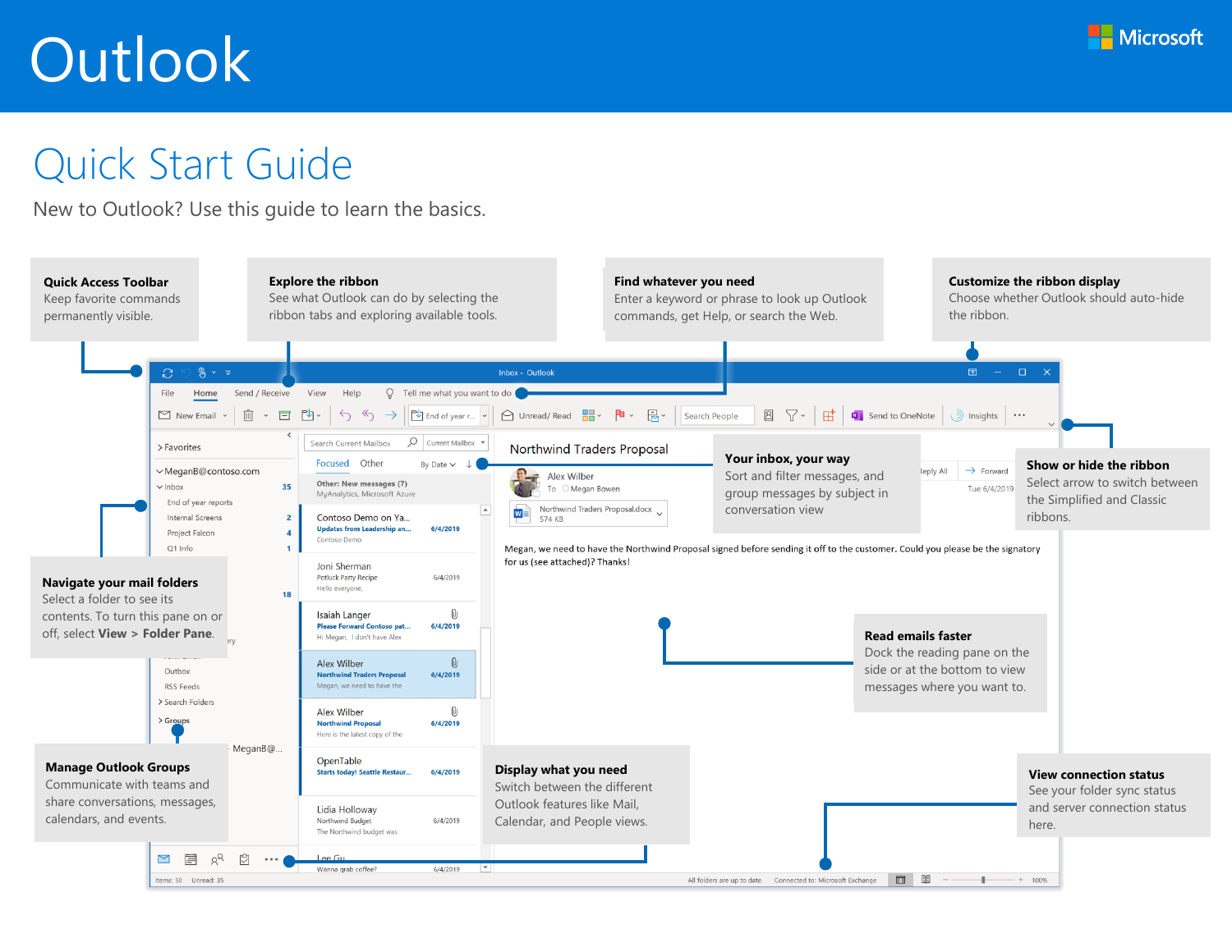

### Quick Start Guide

New to Outlook? Use this guide to learn the basics.

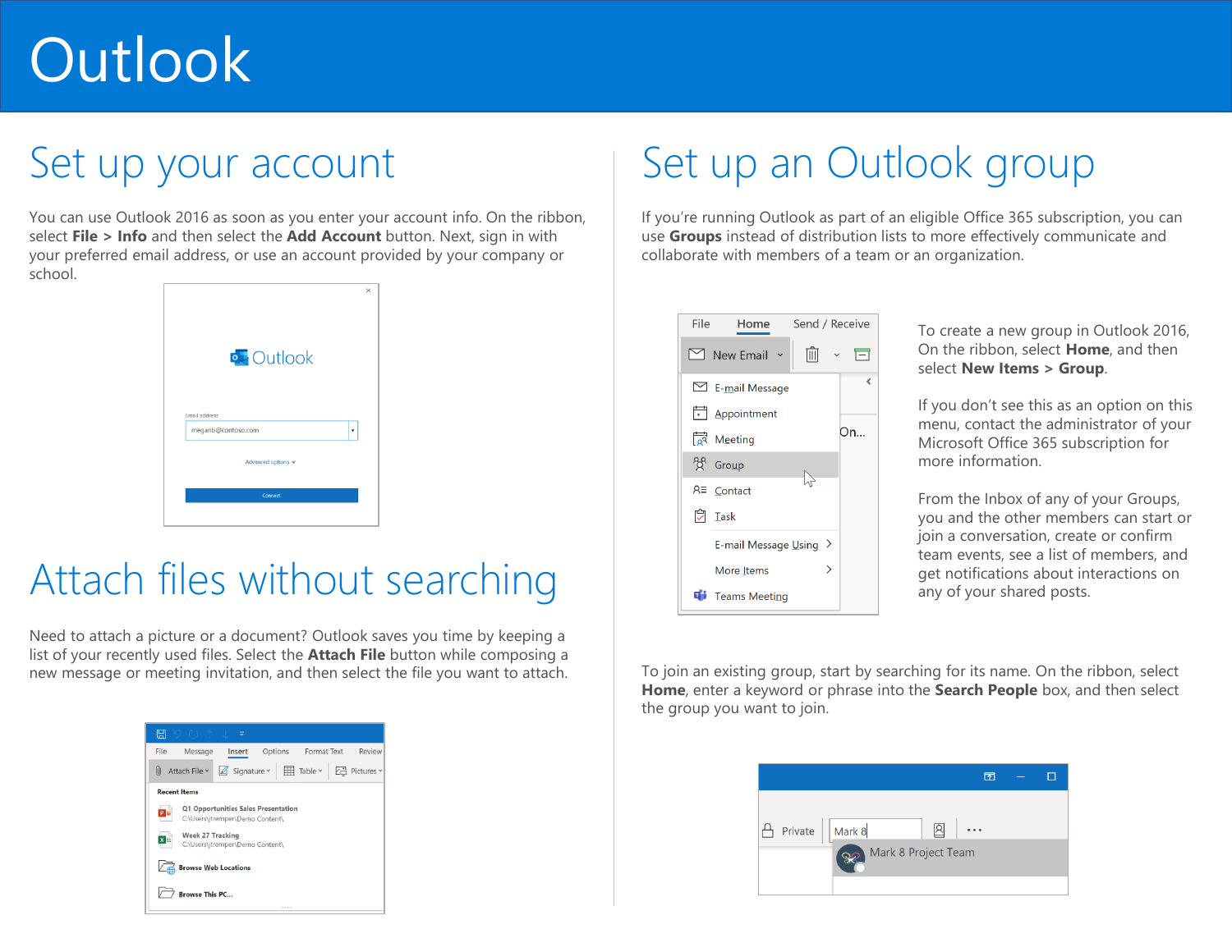## Set up your account

You can use Outlook 2016 as soon as you enter your account info. On the ribbon, select **File > Info** and then select the **Add Account** button. Next, sign in with your preferred email address, or use an account provided by your company or school.



## Attach files without searching

Need to attach a picture or a document? Outlook saves you time by keeping a list of your recently used files. Select the **Attach File** button while composing a new message or meeting invitation, and then select the file you want to attach. To join an existing group, start by searching for its name. On the ribbon, select



## Set up an Outlook group

If you're running Outlook as part of an eligible Office 365 subscription, you can use **Groups** instead of distribution lists to more effectively communicate and collaborate with members of a team or an organization.



To create a new group in Outlook 2016, On the ribbon, select **Home**, and then select **New Items > Group**.

If you don't see this as an option on this menu, contact the administrator of your Microsoft Office 365 subscription for more information.

From the Inbox of any of your Groups, you and the other members can start or join a conversation, create or confirm team events, see a list of members, and get notifications about interactions on any of your shared posts.

**Home**, enter a keyword or phrase into the **Search People** box, and then select the group you want to join.

|                     | 困        |  |
|---------------------|----------|--|
| Private   Mark 8    | $\cdots$ |  |
| Mark 8 Project Team |          |  |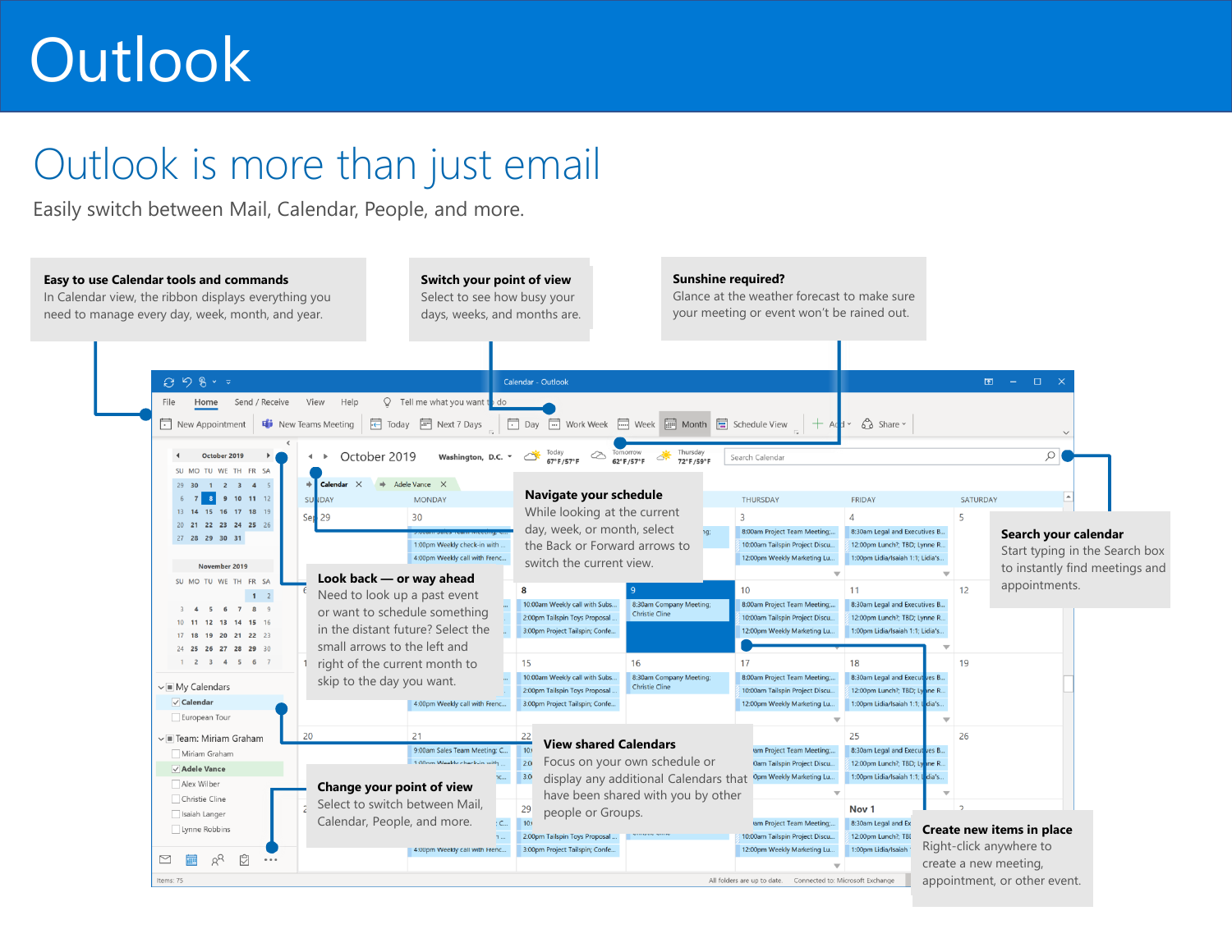## Outlook is more than just email

Easily switch between Mail, Calendar, People, and more.